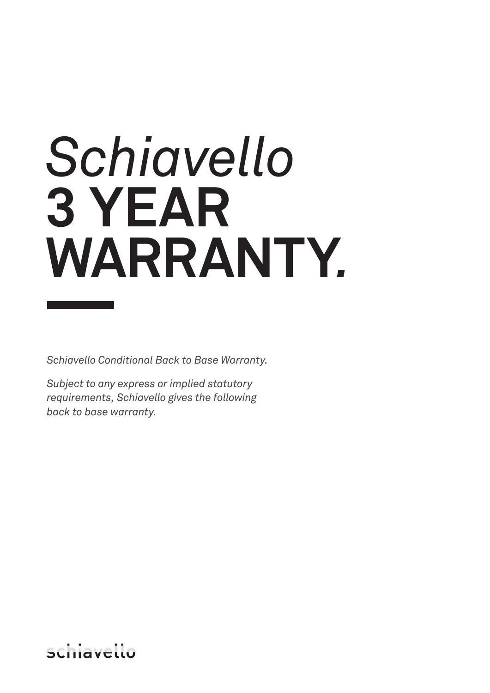# *Schiavello*  **3 YEAR WARRANTY***.*

*Schiavello Conditional Back to Base Warranty.*

*Subject to any express or implied statutory requirements, Schiavello gives the following back to base warranty.*

SLITIQVELLU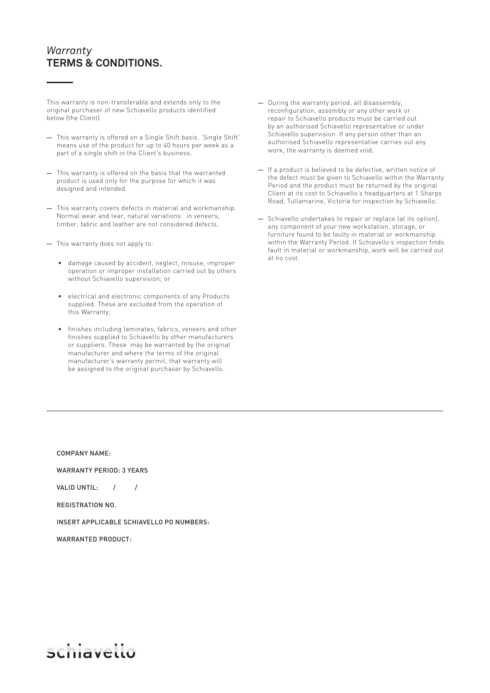This warranty is non-transferable and extends only to the original purchaser of new Schiavello products identified below (the Client).

- This warranty is offered on a Single Shift basis. 'Single Shift' means use of the product for up to 40 hours per week as a part of a single shift in the Client's business.
- This warranty is offered on the basis that the warranted product is used only for the purpose for which it was designed and intended.
- This warranty covers defects in material and workmanship. Normal wear and tear, natural variations in veneers, timber, fabric and leather are not considered defects.
- This warranty does not apply to:
	- **•** damage caused by accident, neglect, misuse, improper operation or improper installation carried out by others without Schiavello supervision; or
	- **•** electrical and electronic components of any Products supplied. These are excluded from the operation of this Warranty;
	- **•** finishes including laminates, fabrics, veneers and other finishes supplied to Schiavello by other manufacturers or suppliers. These may be warranted by the original manufacturer and where the terms of the original manufacturer's warranty permit, that warranty will be assigned to the original purchaser by Schiavello.
- During the warranty period, all disassembly, reconfiguration, assembly or any other work or repair to Schiavello products must be carried out by an authorised Schiavello representative or under Schiavello supervision. If any person other than an authorised Schiavello representative carries out any work, the warranty is deemed void.
- If a product is believed to be defective, written notice of the defect must be given to Schiavello within the Warranty Period and the product must be returned by the original Client at its cost to Schiavello's headquarters at 1 Sharps Road, Tullamarine, Victoria for inspection by Schiavello.
- Schiavello undertakes to repair or replace (at its option), any component of your new workstation, storage, or furniture found to be faulty in material or workmanship within the Warranty Period. If Schiavello's inspection finds fault in material or workmanship, work will be carried out at no cost.

#### COMPANY NAME:

WARRANTY PERIOD: 3 YEARS

VALID UNTIL: / /

REGISTRATION NO.

INSERT APPLICABLE SCHIAVELLO PO NUMBERS:

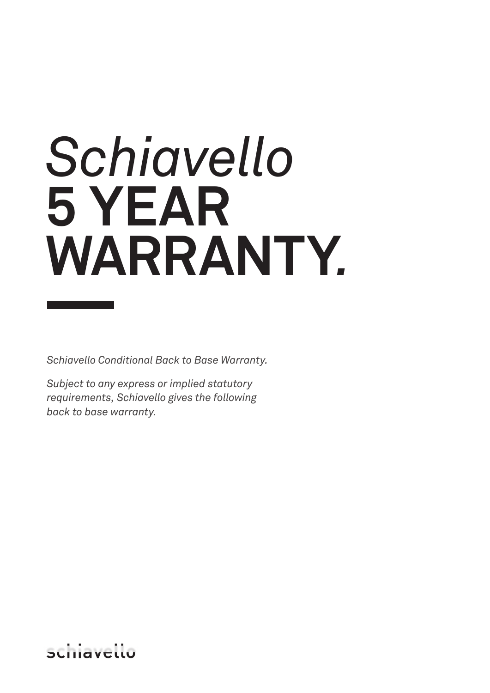## *Schiavello* **5 YEAR WARRANTY***.*

*Schiavello Conditional Back to Base Warranty.*

*Subject to any express or implied statutory requirements, Schiavello gives the following back to base warranty.*

SLITIQVELLO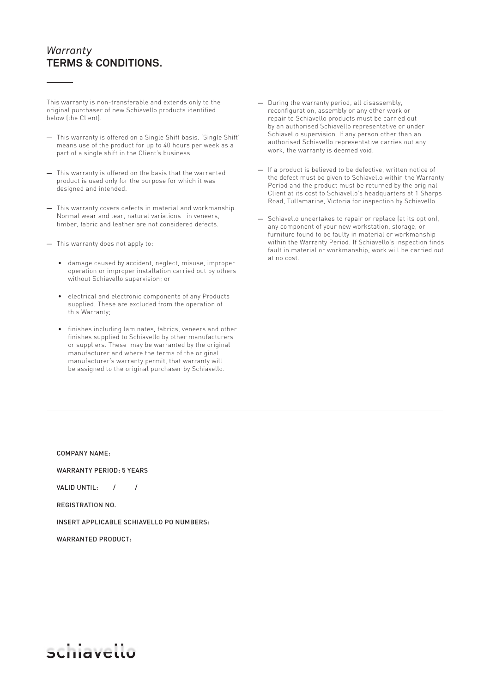This warranty is non-transferable and extends only to the original purchaser of new Schiavello products identified below (the Client).

- This warranty is offered on a Single Shift basis. 'Single Shift' means use of the product for up to 40 hours per week as a part of a single shift in the Client's business.
- This warranty is offered on the basis that the warranted product is used only for the purpose for which it was designed and intended.
- This warranty covers defects in material and workmanship. Normal wear and tear, natural variations in veneers, timber, fabric and leather are not considered defects.
- This warranty does not apply to:
	- **•** damage caused by accident, neglect, misuse, improper operation or improper installation carried out by others without Schiavello supervision; or
	- **•** electrical and electronic components of any Products supplied. These are excluded from the operation of this Warranty;
	- **•** finishes including laminates, fabrics, veneers and other finishes supplied to Schiavello by other manufacturers or suppliers. These may be warranted by the original manufacturer and where the terms of the original manufacturer's warranty permit, that warranty will be assigned to the original purchaser by Schiavello.
- During the warranty period, all disassembly, reconfiguration, assembly or any other work or repair to Schiavello products must be carried out by an authorised Schiavello representative or under Schiavello supervision. If any person other than an authorised Schiavello representative carries out any work, the warranty is deemed void.
- If a product is believed to be defective, written notice of the defect must be given to Schiavello within the Warranty Period and the product must be returned by the original Client at its cost to Schiavello's headquarters at 1 Sharps Road, Tullamarine, Victoria for inspection by Schiavello.
- Schiavello undertakes to repair or replace (at its option), any component of your new workstation, storage, or furniture found to be faulty in material or workmanship within the Warranty Period. If Schiavello's inspection finds fault in material or workmanship, work will be carried out at no cost.

COMPANY NAME:

WARRANTY PERIOD: 5 YEARS

VALID UNTIL: / /

REGISTRATION NO.

INSERT APPLICABLE SCHIAVELLO PO NUMBERS:

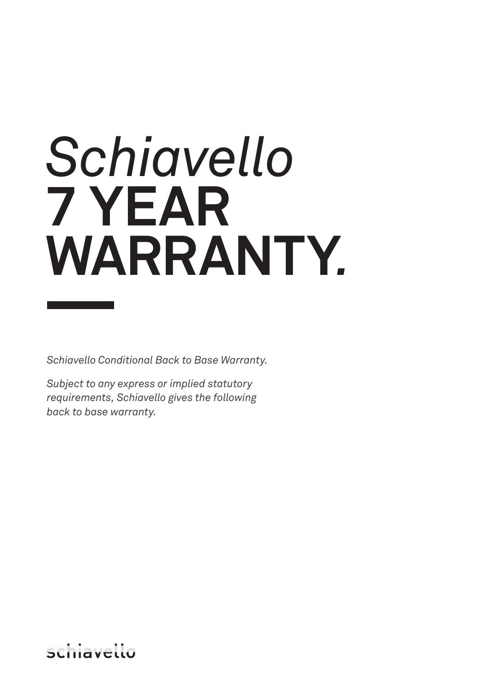## *Schiavello* **7 YEAR WARRANTY***.*

*Schiavello Conditional Back to Base Warranty.*

*Subject to any express or implied statutory requirements, Schiavello gives the following back to base warranty.*

SLITIQVELLU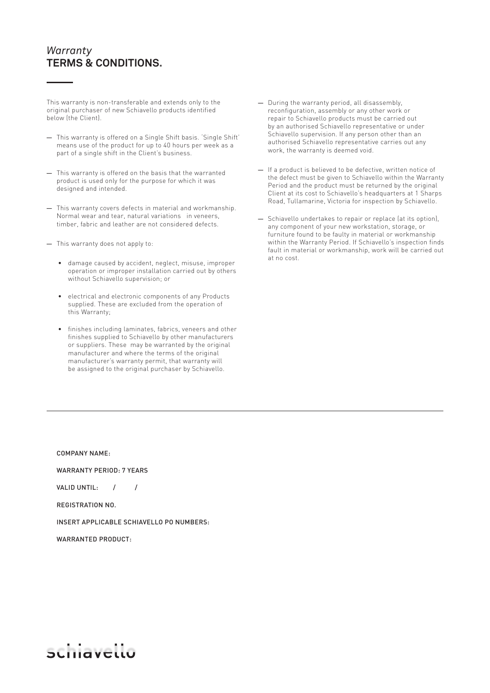This warranty is non-transferable and extends only to the original purchaser of new Schiavello products identified below (the Client).

- This warranty is offered on a Single Shift basis. 'Single Shift' means use of the product for up to 40 hours per week as a part of a single shift in the Client's business.
- This warranty is offered on the basis that the warranted product is used only for the purpose for which it was designed and intended.
- This warranty covers defects in material and workmanship. Normal wear and tear, natural variations in veneers, timber, fabric and leather are not considered defects.
- This warranty does not apply to:
	- **•** damage caused by accident, neglect, misuse, improper operation or improper installation carried out by others without Schiavello supervision; or
	- **•** electrical and electronic components of any Products supplied. These are excluded from the operation of this Warranty;
	- **•** finishes including laminates, fabrics, veneers and other finishes supplied to Schiavello by other manufacturers or suppliers. These may be warranted by the original manufacturer and where the terms of the original manufacturer's warranty permit, that warranty will be assigned to the original purchaser by Schiavello.
- During the warranty period, all disassembly, reconfiguration, assembly or any other work or repair to Schiavello products must be carried out by an authorised Schiavello representative or under Schiavello supervision. If any person other than an authorised Schiavello representative carries out any work, the warranty is deemed void.
- If a product is believed to be defective, written notice of the defect must be given to Schiavello within the Warranty Period and the product must be returned by the original Client at its cost to Schiavello's headquarters at 1 Sharps Road, Tullamarine, Victoria for inspection by Schiavello.
- Schiavello undertakes to repair or replace (at its option), any component of your new workstation, storage, or furniture found to be faulty in material or workmanship within the Warranty Period. If Schiavello's inspection finds fault in material or workmanship, work will be carried out at no cost.

COMPANY NAME:

WARRANTY PERIOD: 7 YEARS

VALID UNTIL: / /

REGISTRATION NO.

INSERT APPLICABLE SCHIAVELLO PO NUMBERS:

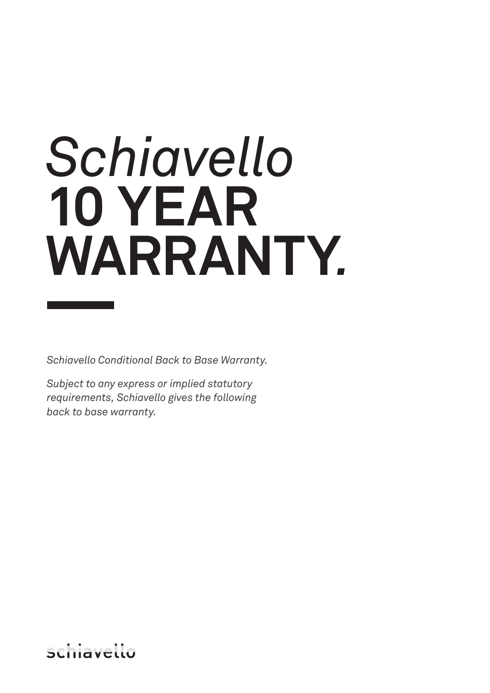## *Schiavello* **10 YEAR WARRANTY***.*

*Schiavello Conditional Back to Base Warranty.*

*Subject to any express or implied statutory requirements, Schiavello gives the following back to base warranty.*

SLITIQVELLO